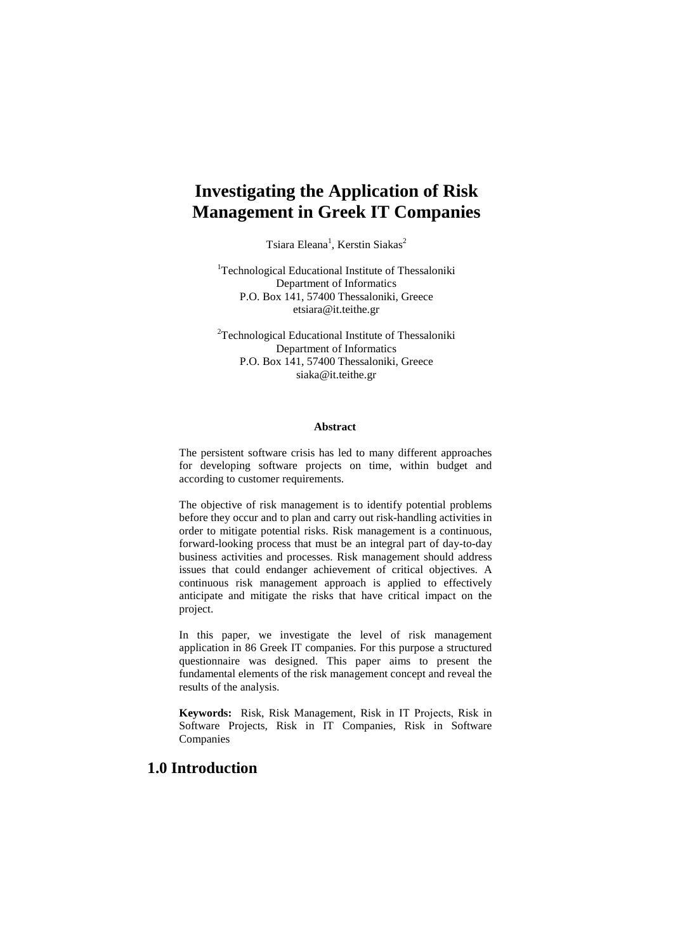# **Investigating the Application of Risk Management in Greek IT Companies**

Tsiara Eleana<sup>1</sup>, Kerstin Siakas<sup>2</sup>

<sup>1</sup>Technological Educational Institute of Thessaloniki Department of Informatics P.O. Box 141, 57400 Thessaloniki, Greece [etsiara@it.teithe.gr](mailto:etsiara@it.teithe.gr)

<sup>2</sup>Technological Educational Institute of Thessaloniki Department of Informatics P.O. Box 141, 57400 Thessaloniki, Greece siaka@it.teithe.gr

#### **Abstract**

The persistent software crisis has led to many different approaches for developing software projects on time, within budget and according to customer requirements.

The objective of risk management is to identify potential problems before they occur and to plan and carry out risk-handling activities in order to mitigate potential risks. Risk management is a continuous, forward-looking process that must be an integral part of day-to-day business activities and processes. Risk management should address issues that could endanger achievement of critical objectives. A continuous risk management approach is applied to effectively anticipate and mitigate the risks that have critical impact on the project.

In this paper, we investigate the level of risk management application in 86 Greek IT companies. For this purpose a structured questionnaire was designed. This paper aims to present the fundamental elements of the risk management concept and reveal the results of the analysis.

**Keywords:** Risk, Risk Management, Risk in ΙΤ Projects, Risk in Software Projects, Risk in IT Companies, Risk in Software Companies

### **1.0 Introduction**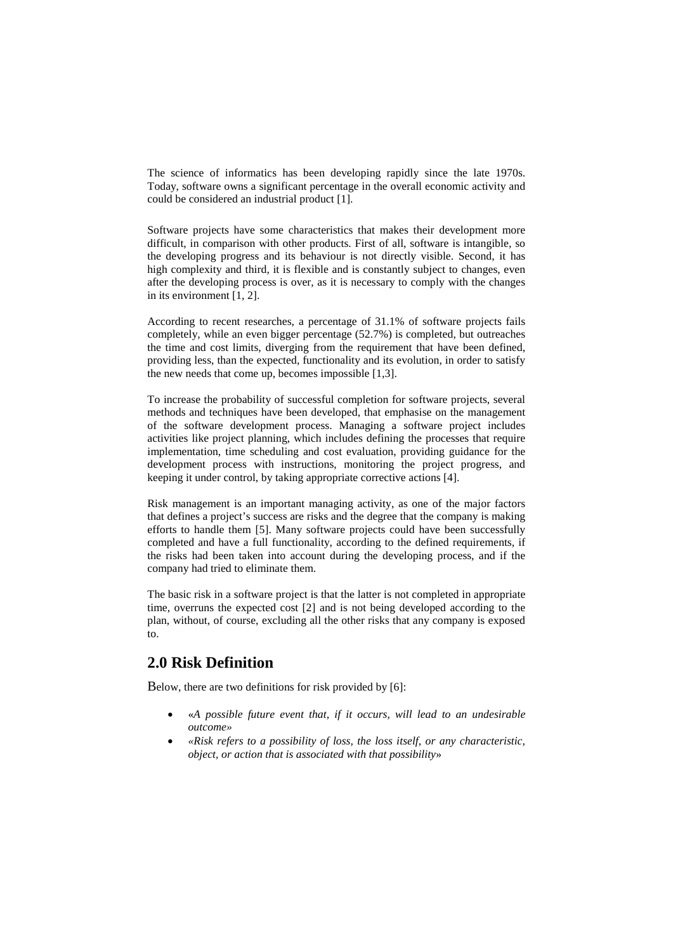The science of informatics has been developing rapidly since the late 1970s. Today, software owns a significant percentage in the overall economic activity and could be considered an industrial product [1].

Software projects have some characteristics that makes their development more difficult, in comparison with other products. First of all, software is intangible, so the developing progress and its behaviour is not directly visible. Second, it has high complexity and third, it is flexible and is constantly subject to changes, even after the developing process is over, as it is necessary to comply with the changes in its environment [1, 2].

According to recent researches, a percentage of 31.1% of software projects fails completely, while an even bigger percentage (52.7%) is completed, but outreaches the time and cost limits, diverging from the requirement that have been defined, providing less, than the expected, functionality and its evolution, in order to satisfy the new needs that come up, becomes impossible [1,3].

To increase the probability of successful completion for software projects, several methods and techniques have been developed, that emphasise on the management of the software development process. Managing a software project includes activities like project planning, which includes defining the processes that require implementation, time scheduling and cost evaluation, providing guidance for the development process with instructions, monitoring the project progress, and keeping it under control, by taking appropriate corrective actions [4].

Risk management is an important managing activity, as one of the major factors that defines a project's success are risks and the degree that the company is making efforts to handle them [5]. Many software projects could have been successfully completed and have a full functionality, according to the defined requirements, if the risks had been taken into account during the developing process, and if the company had tried to eliminate them.

The basic risk in a software project is that the latter is not completed in appropriate time, overruns the expected cost [2] and is not being developed according to the plan, without, of course, excluding all the other risks that any company is exposed to.

## **2.0 Risk Definition**

Below, there are two definitions for risk provided by [6]:

- «*A possible future event that, if it occurs, will lead to an undesirable outcome»*
- *«Risk refers to a possibility of loss, the loss itself, or any characteristic, object, or action that is associated with that possibility*»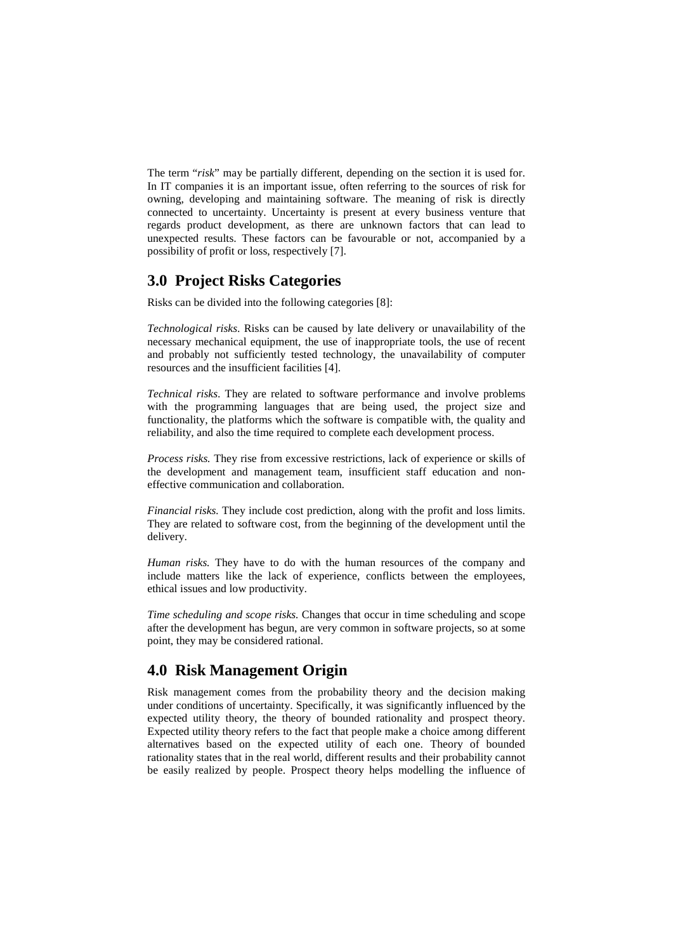The term "*risk*" may be partially different, depending on the section it is used for. In IT companies it is an important issue, often referring to the sources of risk for owning, developing and maintaining software. The meaning of risk is directly connected to uncertainty. Uncertainty is present at every business venture that regards product development, as there are unknown factors that can lead to unexpected results. These factors can be favourable or not, accompanied by a possibility of profit or loss, respectively [7].

## **3.0 Project Risks Categories**

Risks can be divided into the following categories [8]:

*Technological risks*. Risks can be caused by late delivery or unavailability of the necessary mechanical equipment, the use of inappropriate tools, the use of recent and probably not sufficiently tested technology, the unavailability of computer resources and the insufficient facilities [4].

*Technical risks*. They are related to software performance and involve problems with the programming languages that are being used, the project size and functionality, the platforms which the software is compatible with, the quality and reliability, and also the time required to complete each development process.

*Process risks.* They rise from excessive restrictions, lack of experience or skills of the development and management team, insufficient staff education and noneffective communication and collaboration.

*Financial risks.* They include cost prediction, along with the profit and loss limits. They are related to software cost, from the beginning of the development until the delivery.

*Human risks.* They have to do with the human resources of the company and include matters like the lack of experience, conflicts between the employees, ethical issues and low productivity.

*Time scheduling and scope risks.* Changes that occur in time scheduling and scope after the development has begun, are very common in software projects, so at some point, they may be considered rational.

## **4.0 Risk Management Origin**

Risk management comes from the probability theory and the decision making under conditions of uncertainty. Specifically, it was significantly influenced by the expected utility theory, the theory of bounded rationality and prospect theory. Expected utility theory refers to the fact that people make a choice among different alternatives based on the expected utility of each one. Theory of bounded rationality states that in the real world, different results and their probability cannot be easily realized by people. Prospect theory helps modelling the influence of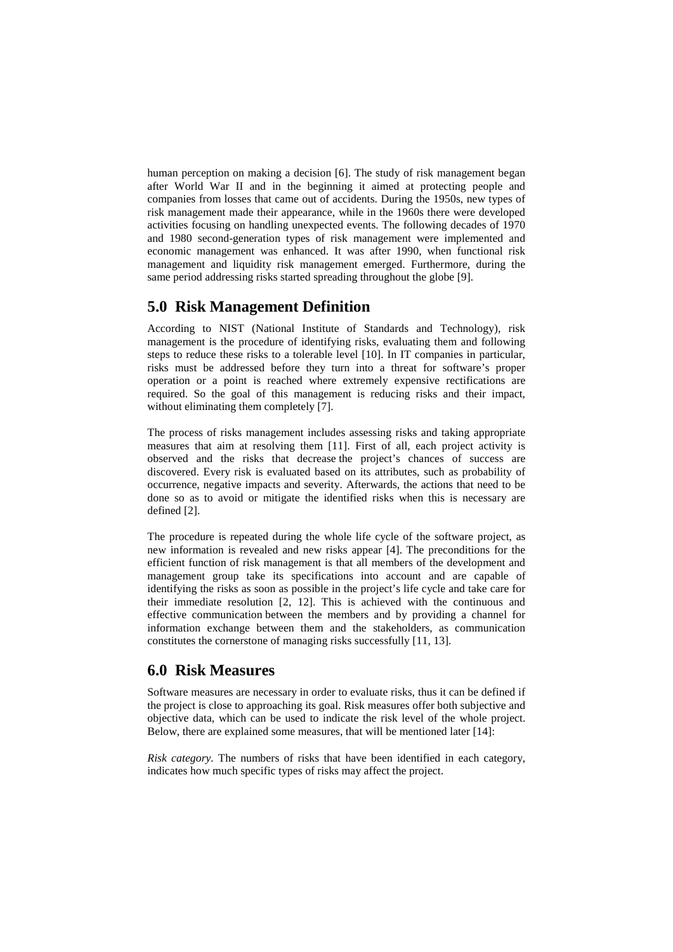human perception on making a decision [6]. The study of risk management began after World War II and in the beginning it aimed at protecting people and companies from losses that came out of accidents. During the 1950s, new types of risk management made their appearance, while in the 1960s there were developed activities focusing on handling unexpected events. The following decades of 1970 and 1980 second-generation types of risk management were implemented and economic management was enhanced. It was after 1990, when functional risk management and liquidity risk management emerged. Furthermore, during the same period addressing risks started spreading throughout the globe [9].

## **5.0 Risk Management Definition**

According to NIST [\(National Institute of Standards and Technology\)](http://www.nist.gov/), risk management is the procedure of identifying risks, evaluating them and following steps to reduce these risks to a tolerable level [10]. In IT companies in particular, risks must be addressed before they turn into a threat for software's proper operation or a point is reached where extremely expensive rectifications are required. So the goal of this management is reducing risks and their impact, without eliminating them completely [7].

The process of risks management includes assessing risks and taking appropriate measures that aim at resolving them [11]. First of all, each project activity is observed and the risks that decrease the project's chances of success are discovered. Every risk is evaluated based on its attributes, such as probability of occurrence, negative impacts and severity. Afterwards, the actions that need to be done so as to avoid or mitigate the identified risks when this is necessary are defined [2].

The procedure is repeated during the whole life cycle of the software project, as new information is revealed and new risks appear [4]. The preconditions for the efficient function of risk management is that all members of the development and management group take its specifications into account and are capable of identifying the risks as soon as possible in the project's life cycle and take care for their immediate resolution [2, 12]. This is achieved with the continuous and effective communication between the members and by providing a channel for information exchange between them and the stakeholders, as communication constitutes the cornerstone of managing risks successfully [11, 13].

### **6.0 Risk Measures**

Software measures are necessary in order to evaluate risks, thus it can be defined if the project is close to approaching its goal. Risk measures offer both subjective and objective data, which can be used to indicate the risk level of the whole project. Below, there are explained some measures, that will be mentioned later [14]:

*Risk category*. The numbers of risks that have been identified in each category, indicates how much specific types of risks may affect the project.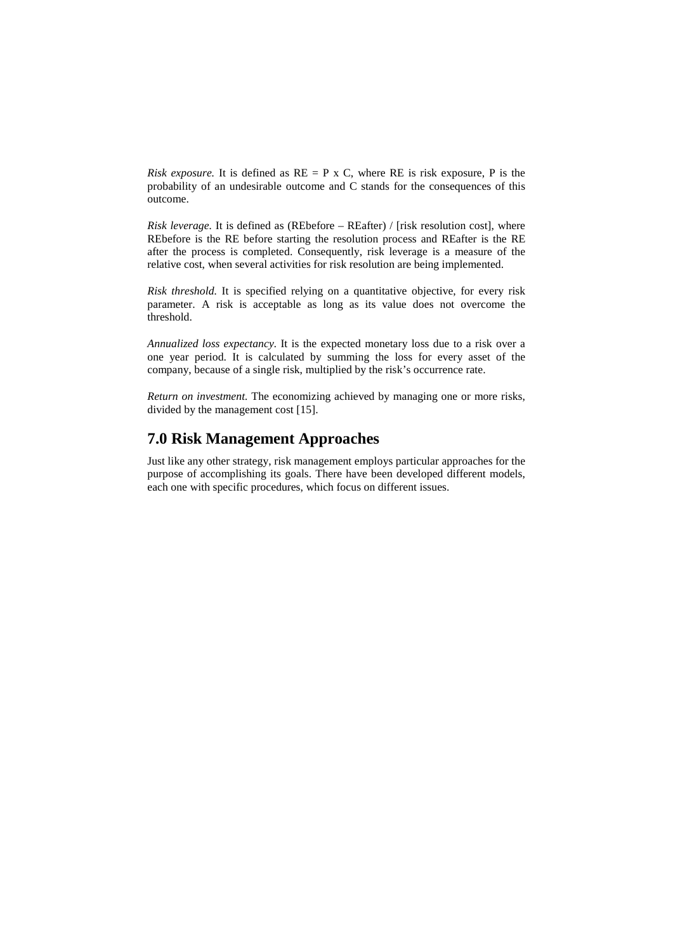*Risk exposure.* It is defined as  $RE = P \times C$ , where RE is risk exposure, P is the probability of an undesirable outcome and C stands for the consequences of this outcome.

*Risk leverage.* It is defined as (REbefore – REafter) / [risk resolution cost], where REbefore is the RE before starting the resolution process and REafter is the RE after the process is completed. Consequently, risk leverage is a measure of the relative cost, when several activities for risk resolution are being implemented.

*Risk threshold.* It is specified relying on a quantitative objective, for every risk parameter. A risk is acceptable as long as its value does not overcome the threshold.

*Annualized loss expectancy.* It is the expected monetary loss due to a risk over a one year period. It is calculated by summing the loss for every asset of the company, because of a single risk, multiplied by the risk's occurrence rate.

*Return on investment.* The economizing achieved by managing one or more risks, divided by the management cost [15].

## **7.0 Risk Management Approaches**

Just like any other strategy, risk management employs particular approaches for the purpose of accomplishing its goals. There have been developed different models, each one with specific procedures, which focus on different issues.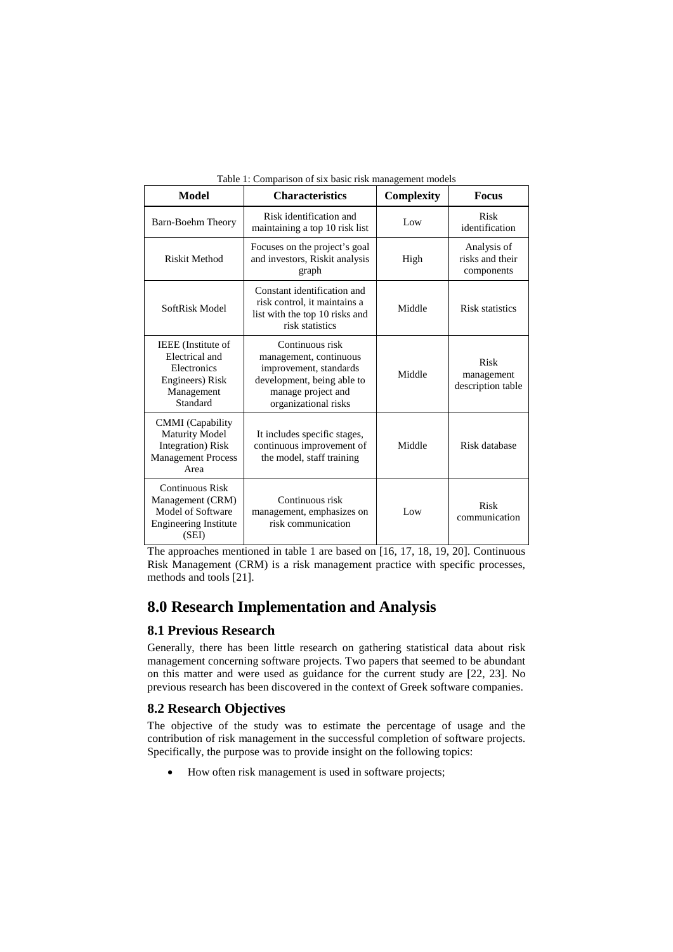| Model                                                                                                      | <b>Characteristics</b>                                                                                                                          | Complexity | <b>Focus</b>                                 |
|------------------------------------------------------------------------------------------------------------|-------------------------------------------------------------------------------------------------------------------------------------------------|------------|----------------------------------------------|
| Barn-Boehm Theory                                                                                          | Risk identification and<br>Low<br>maintaining a top 10 risk list                                                                                |            | Risk<br>identification                       |
| Riskit Method                                                                                              | Focuses on the project's goal<br>and investors, Riskit analysis<br>graph                                                                        | High       | Analysis of<br>risks and their<br>components |
| SoftRisk Model                                                                                             | Constant identification and<br>risk control, it maintains a<br>list with the top 10 risks and<br>risk statistics                                | Middle     |                                              |
| IEEE (Institute of<br>Electrical and<br>Electronics<br>Engineers) Risk<br>Management<br>Standard           | Continuous risk<br>management, continuous<br>improvement, standards<br>development, being able to<br>manage project and<br>organizational risks | Middle     | Risk<br>management<br>description table      |
| <b>CMMI</b> (Capability<br><b>Maturity Model</b><br>Integration) Risk<br><b>Management Process</b><br>Area | It includes specific stages,<br>continuous improvement of<br>the model, staff training                                                          | Middle     | Risk database                                |
| <b>Continuous Risk</b><br>Management (CRM)<br>Model of Software<br><b>Engineering Institute</b><br>(SEI)   | Continuous risk<br>management, emphasizes on<br>risk communication                                                                              | Low        | Risk<br>communication                        |

Table 1: Comparison of six basic risk management models

The approaches mentioned in table 1 are based on [16, 17, 18, 19, 20]. Continuous Risk Management (CRM) is a risk management practice with specific processes, methods and tools [21].

## **8.0 Research Implementation and Analysis**

#### **8.1 Previous Research**

Generally, there has been little research on gathering statistical data about risk management concerning software projects. Two papers that seemed to be abundant on this matter and were used as guidance for the current study are [22, 23]. No previous research has been discovered in the context of Greek software companies.

#### **8.2 Research Objectives**

The objective of the study was to estimate the percentage of usage and the contribution of risk management in the successful completion of software projects. Specifically, the purpose was to provide insight on the following topics:

• How often risk management is used in software projects;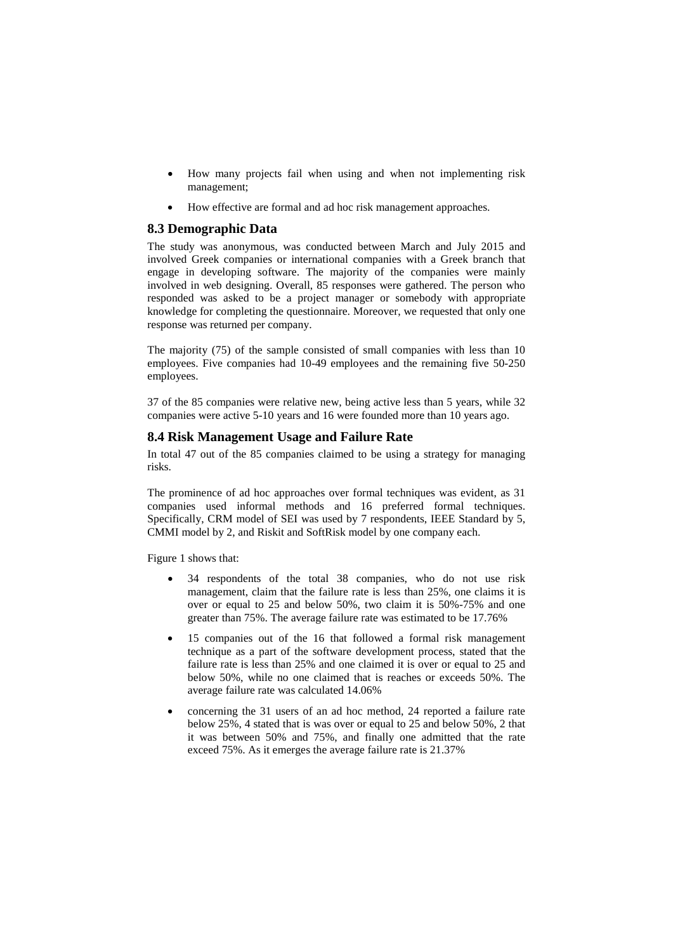- How many projects fail when using and when not implementing risk management;
- How effective are formal and ad hoc risk management approaches.

### **8.3 Demographic Data**

The study was anonymous, was conducted between March and July 2015 and involved Greek companies or international companies with a Greek branch that engage in developing software. The majority of the companies were mainly involved in web designing. Overall, 85 responses were gathered. The person who responded was asked to be a project manager or somebody with appropriate knowledge for completing the questionnaire. Moreover, we requested that only one response was returned per company.

The majority (75) of the sample consisted of small companies with less than 10 employees. Five companies had 10-49 employees and the remaining five 50-250 employees.

37 of the 85 companies were relative new, being active less than 5 years, while 32 companies were active 5-10 years and 16 were founded more than 10 years ago.

### **8.4 Risk Management Usage and Failure Rate**

In total 47 out of the 85 companies claimed to be using a strategy for managing risks.

The prominence of ad hoc approaches over formal techniques was evident, as 31 companies used informal methods and 16 preferred formal techniques. Specifically, CRM model of SEI was used by 7 respondents, IEEE Standard by 5, CMMI model by 2, and Riskit and SoftRisk model by one company each.

Figure 1 shows that:

- 34 respondents of the total 38 companies, who do not use risk management, claim that the failure rate is less than 25%, one claims it is over or equal to 25 and below 50%, two claim it is 50%-75% and one greater than 75%. The average failure rate was estimated to be 17.76%
- 15 companies out of the 16 that followed a formal risk management technique as a part of the software development process, stated that the failure rate is less than 25% and one claimed it is over or equal to 25 and below 50%, while no one claimed that is reaches or exceeds 50%. The average failure rate was calculated 14.06%
- concerning the 31 users of an ad hoc method, 24 reported a failure rate below 25%, 4 stated that is was over or equal to 25 and below 50%, 2 that it was between 50% and 75%, and finally one admitted that the rate exceed 75%. As it emerges the average failure rate is 21.37%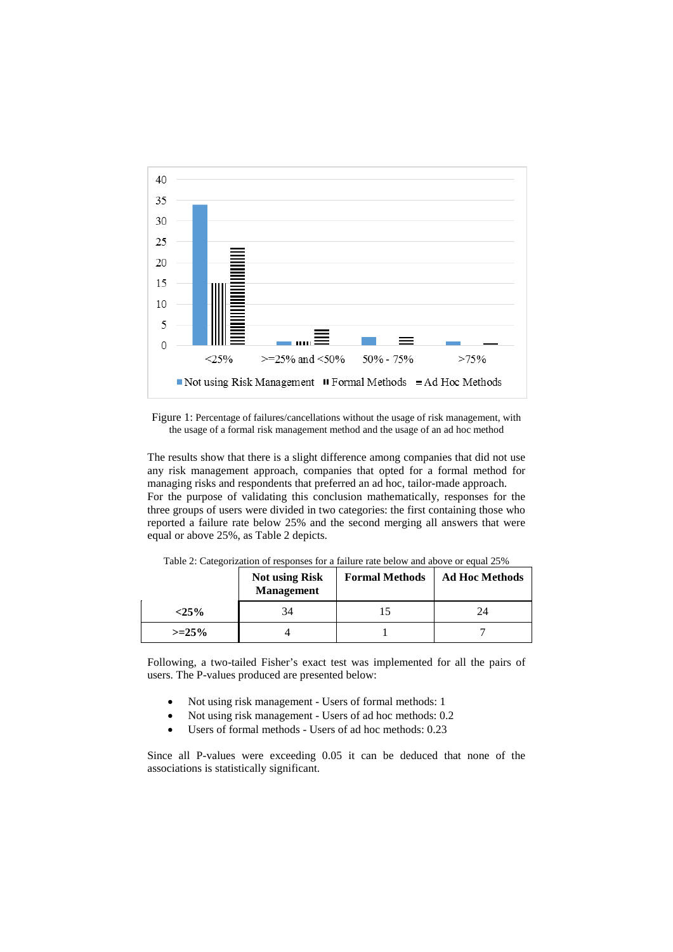

Figure 1: Percentage of failures/cancellations without the usage of risk management, with the usage of a formal risk management method and the usage of an ad hoc method

The results show that there is a slight difference among companies that did not use any risk management approach, companies that opted for a formal method for managing risks and respondents that preferred an ad hoc, tailor-made approach. For the purpose of validating this conclusion mathematically, responses for the three groups of users were divided in two categories: the first containing those who reported a failure rate below 25% and the second merging all answers that were equal or above 25%, as Table 2 depicts.

|         | <b>Not using Risk</b><br><b>Management</b> | <b>Formal Methods</b> | <b>Ad Hoc Methods</b> |
|---------|--------------------------------------------|-----------------------|-----------------------|
| $<$ 25% | 34                                         |                       | 24                    |
| $>=25%$ |                                            |                       |                       |

Table 2: Categorization of responses for a failure rate below and above or equal 25%

Following, a two-tailed Fisher's exact test was implemented for all the pairs of users. The P-values produced are presented below:

- Not using risk management Users of formal methods: 1
- Not using risk management Users of ad hoc methods: 0.2
- Users of formal methods Users of ad hoc methods: 0.23

Since all P-values were exceeding 0.05 it can be deduced that none of the associations is statistically significant.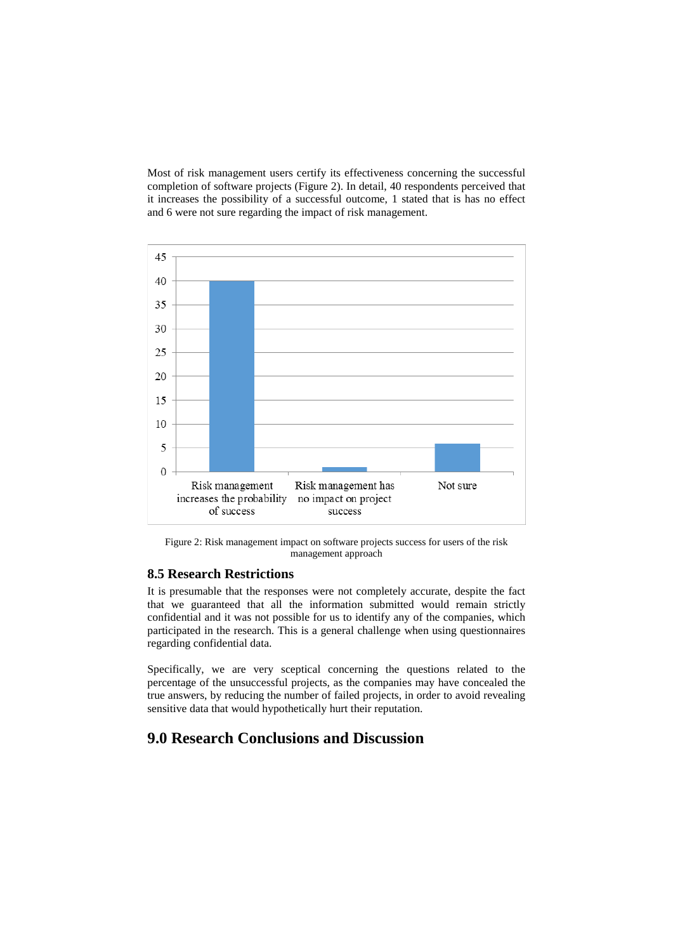Most of risk management users certify its effectiveness concerning the successful completion of software projects (Figure 2). In detail, 40 respondents perceived that it increases the possibility of a successful outcome, 1 stated that is has no effect and 6 were not sure regarding the impact of risk management.



Figure 2: Risk management impact on software projects success for users of the risk management approach

### **8.5 Research Restrictions**

It is presumable that the responses were not completely accurate, despite the fact that we guaranteed that all the information submitted would remain strictly confidential and it was not possible for us to identify any of the companies, which participated in the research. This is a general challenge when using questionnaires regarding confidential data.

Specifically, we are very sceptical concerning the questions related to the percentage of the unsuccessful projects, as the companies may have concealed the true answers, by reducing the number of failed projects, in order to avoid revealing sensitive data that would hypothetically hurt their reputation.

## **9.0 Research Conclusions and Discussion**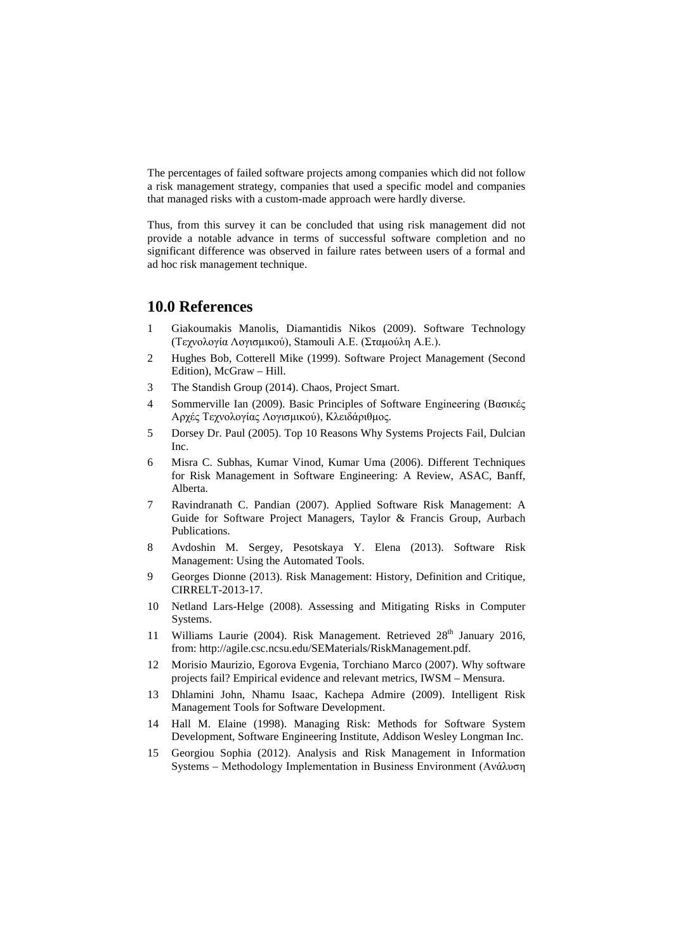The percentages of failed software projects among companies which did not follow a risk management strategy, companies that used a specific model and companies that managed risks with a custom-made approach were hardly diverse.

Thus, from this survey it can be concluded that using risk management did not provide a notable advance in terms of successful software completion and no significant difference was observed in failure rates between users of a formal and ad hoc risk management technique.

### **10.0 References**

- 1 Giakoumakis Manolis, Diamantidis Nikos (2009). Software Technology (Τεχνολογία Λογισμικού), Stamouli A.E. (Σταμούλη Α.Ε.).
- 2 Hughes Bob, Cotterell Mike (1999). Software Project Management (Second Edition), McGraw – Hill.
- 3 The Standish Group (2014). Chaos, Project Smart.
- 4 Sommerville Ian (2009). Basic Principles of Software Engineering (Βασικές Αρχές Τεχνολογίας Λογισμικού), Κλειδάριθμος.
- 5 Dorsey Dr. Paul (2005). Top 10 Reasons Why Systems Projects Fail, Dulcian Inc.
- 6 Misra C. Subhas, Kumar Vinod, Kumar Uma (2006). Different Techniques for Risk Management in Software Engineering: A Review, ASAC, Banff, Alberta.
- 7 Ravindranath C. Pandian (2007). Applied Software Risk Management: A Guide for Software Project Managers, Taylor & Francis Group, Aurbach Publications.
- 8 Avdoshin M. Sergey, Pesotskaya Y. Elena (2013). Software Risk Management: Using the Automated Tools.
- 9 Georges Dionne (2013). Risk Management: History, Definition and Critique, CIRRELT-2013-17.
- 10 Netland Lars-Helge (2008). Assessing and Mitigating Risks in Computer Systems.
- 11 Williams Laurie (2004). Risk Management. Retrieved  $28<sup>th</sup>$  January 2016, from: [http://agile.csc.ncsu.edu/SEMaterials/RiskManagement.pdf.](http://agile.csc.ncsu.edu/SEMaterials/RiskManagement.pdf)
- 12 Morisio Maurizio, Egorova Evgenia, Torchiano Marco (2007). Why software projects fail? Empirical evidence and relevant metrics, IWSM – Mensura.
- 13 Dhlamini John, Nhamu Isaac, Kachepa Admire (2009). Intelligent Risk Management Tools for Software Development.
- 14 Hall M. Elaine (1998). Managing Risk: Methods for Software System Development, Software Engineering Institute, Addison Wesley Longman Inc.
- 15 Georgiou Sophia (2012). Analysis and Risk Management in Information Systems – Methodology Implementation in Business Environment (Ανάλυση